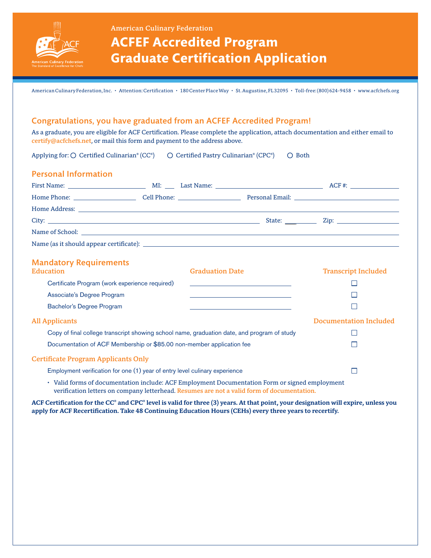

American Culinary Federation

# **ACFEF Accredited Program Graduate Certification Application**

American Culinary Federation, Inc. • Attention: Certification • 180 Center Place Way • St. Augustine, FL 32095 • Toll-free: (800) 624-9458 • www.acfchefs.org

## Congratulations, you have graduated from an ACFEF Accredited Program!

As a graduate, you are eligible for ACF Certification. Please complete the application, attach documentation and either email to certify@acfchefs.net, or mail this form and payment to the address above.

Applying for:  $\bigcirc$  Certified Culinarian® (CC®)  $\bigcirc$  Certified Pastry Culinarian® (CPC®)  $\bigcirc$  Both

| <b>Personal Information</b> |  |  |
|-----------------------------|--|--|
|                             |  |  |
|                             |  |  |
|                             |  |  |
|                             |  |  |
|                             |  |  |
|                             |  |  |

### Mandatory Requirements

| <b>Education</b>                                                                               | <b>Graduation Date</b> | <b>Transcript Included</b>    |
|------------------------------------------------------------------------------------------------|------------------------|-------------------------------|
| Certificate Program (work experience required)                                                 |                        |                               |
| Associate's Degree Program                                                                     |                        |                               |
| <b>Bachelor's Degree Program</b>                                                               |                        |                               |
| <b>All Applicants</b>                                                                          |                        | <b>Documentation Included</b> |
| Copy of final college transcript showing school name, graduation date, and program of study    |                        |                               |
| Documentation of ACF Membership or \$85.00 non-member application fee                          |                        |                               |
| <b>Certificate Program Applicants Only</b>                                                     |                        |                               |
| Employment verification for one (1) year of entry level culinary experience                    |                        |                               |
| • Valid forms of documentation include: ACF Employment Documentation Form or signed employment |                        |                               |

• Valid forms of documentation include: ACF Employment Documentation Form or signed employment verification letters on company letterhead. Resumes are not a valid form of documentation.

ACF Certification for the CC<sup>®</sup> and CPC<sup>®</sup> level is valid for three (3) years. At that point, your designation will expire, unless you apply for ACF Recertification. Take 48 Continuing Education Hours (CEHs) every three years to recertify.